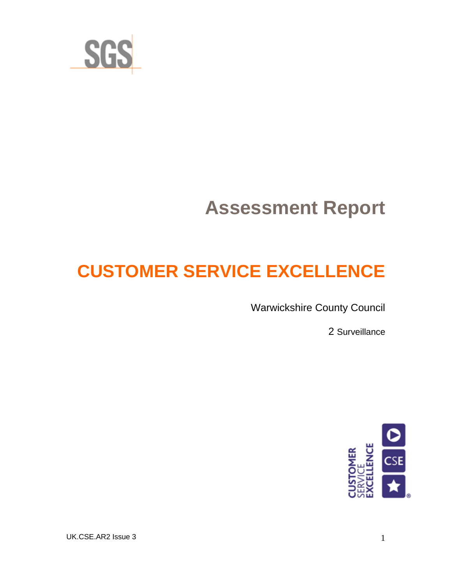

# **Assessment Report**

## **CUSTOMER SERVICE EXCELLENCE**

Warwickshire County Council

2 Surveillance



UK.CSE.AR2 Issue 3 1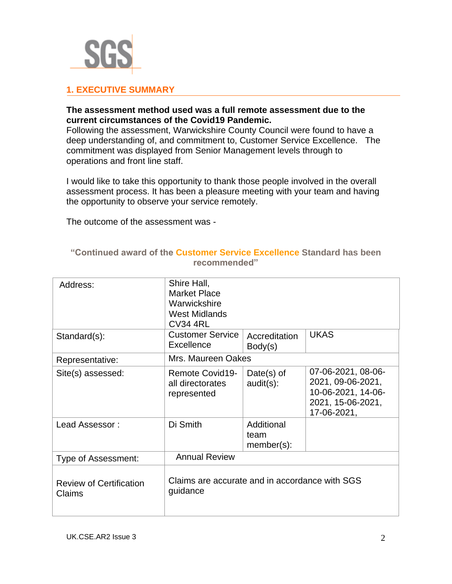

#### **1. EXECUTIVE SUMMARY**

#### **The assessment method used was a full remote assessment due to the current circumstances of the Covid19 Pandemic.**

Following the assessment, Warwickshire County Council were found to have a deep understanding of, and commitment to, Customer Service Excellence. The commitment was displayed from Senior Management levels through to operations and front line staff.

I would like to take this opportunity to thank those people involved in the overall assessment process. It has been a pleasure meeting with your team and having the opportunity to observe your service remotely.

The outcome of the assessment was -

| Address:                                 | Shire Hall,<br><b>Market Place</b><br>Warwickshire<br><b>West Midlands</b><br><b>CV34 4RL</b> |                                     |                                                                                                   |
|------------------------------------------|-----------------------------------------------------------------------------------------------|-------------------------------------|---------------------------------------------------------------------------------------------------|
| Standard(s):                             | <b>Customer Service</b><br>Excellence                                                         | Accreditation<br>Body(s)            | <b>UKAS</b>                                                                                       |
| Representative:                          | Mrs. Maureen Oakes                                                                            |                                     |                                                                                                   |
| Site(s) assessed:                        | Remote Covid19-<br>all directorates<br>represented                                            | Date $(s)$ of<br>$audit(s)$ :       | 07-06-2021, 08-06-<br>2021, 09-06-2021,<br>10-06-2021, 14-06-<br>2021, 15-06-2021,<br>17-06-2021, |
| Lead Assessor:                           | Di Smith                                                                                      | Additional<br>team<br>$member(s)$ : |                                                                                                   |
| Type of Assessment:                      | <b>Annual Review</b>                                                                          |                                     |                                                                                                   |
| <b>Review of Certification</b><br>Claims | Claims are accurate and in accordance with SGS<br>guidance                                    |                                     |                                                                                                   |

#### **"Continued award of the Customer Service Excellence Standard has been recommended"**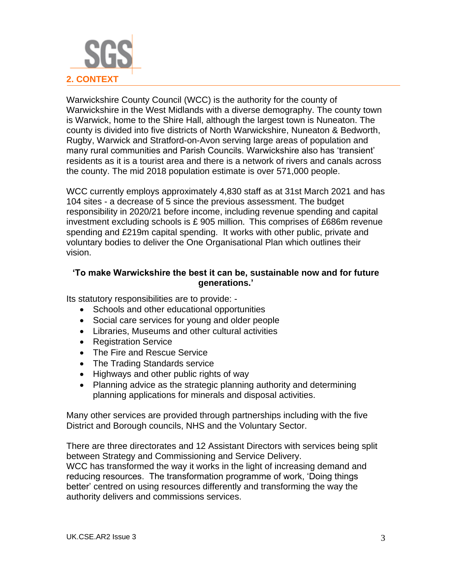

Warwickshire County Council (WCC) is the authority for the county of Warwickshire in the West Midlands with a diverse demography. The county town is Warwick, home to the Shire Hall, although the largest town is Nuneaton. The county is divided into five districts of North Warwickshire, Nuneaton & Bedworth, Rugby, Warwick and Stratford-on-Avon serving large areas of population and many rural communities and Parish Councils. Warwickshire also has 'transient' residents as it is a tourist area and there is a network of rivers and canals across the county. The mid 2018 population estimate is over 571,000 people.

WCC currently employs approximately 4,830 staff as at 31st March 2021 and has 104 sites - a decrease of 5 since the previous assessment. The budget responsibility in 2020/21 before income, including revenue spending and capital investment excluding schools is £ 905 million. This comprises of £686m revenue spending and £219m capital spending. It works with other public, private and voluntary bodies to deliver the One Organisational Plan which outlines their vision.

#### **'To make Warwickshire the best it can be, sustainable now and for future generations.'**

Its statutory responsibilities are to provide: -

- Schools and other educational opportunities
- Social care services for young and older people
- Libraries, Museums and other cultural activities
- Registration Service
- The Fire and Rescue Service
- The Trading Standards service
- Highways and other public rights of way
- Planning advice as the strategic planning authority and determining planning applications for minerals and disposal activities.

Many other services are provided through partnerships including with the five District and Borough councils, NHS and the Voluntary Sector.

There are three directorates and 12 Assistant Directors with services being split between Strategy and Commissioning and Service Delivery. WCC has transformed the way it works in the light of increasing demand and reducing resources. The transformation programme of work, 'Doing things better' centred on using resources differently and transforming the way the authority delivers and commissions services.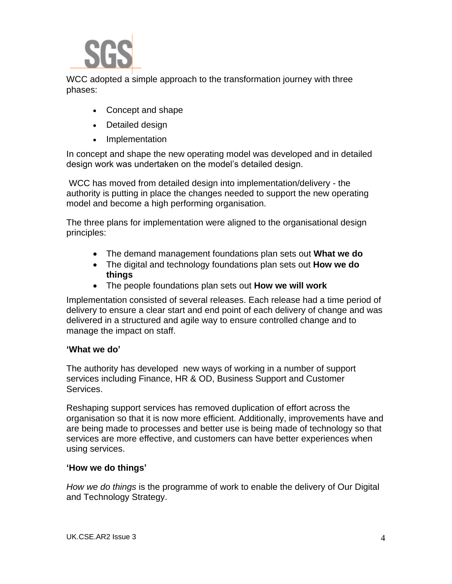WCC adopted a simple approach to the transformation journey with three phases:

- Concept and shape
- Detailed design
- Implementation

In concept and shape the new operating model was developed and in detailed design work was undertaken on the model's detailed design.

WCC has moved from detailed design into implementation/delivery - the authority is putting in place the changes needed to support the new operating model and become a high performing organisation.

The three plans for implementation were aligned to the organisational design principles:

- The demand management foundations plan sets out **What we do**
- The digital and technology foundations plan sets out **How we do things**
- The people foundations plan sets out **How we will work**

Implementation consisted of several releases. Each release had a time period of delivery to ensure a clear start and end point of each delivery of change and was delivered in a structured and agile way to ensure controlled change and to manage the impact on staff.

#### **'What we do'**

The authority has developed new ways of working in a number of support services including Finance, HR & OD, Business Support and Customer Services.

Reshaping support services has removed duplication of effort across the organisation so that it is now more efficient. Additionally, improvements have and are being made to processes and better use is being made of technology so that services are more effective, and customers can have better experiences when using services.

#### **'How we do things'**

*How we do things* is the programme of work to enable the delivery of Our Digital and Technology Strategy.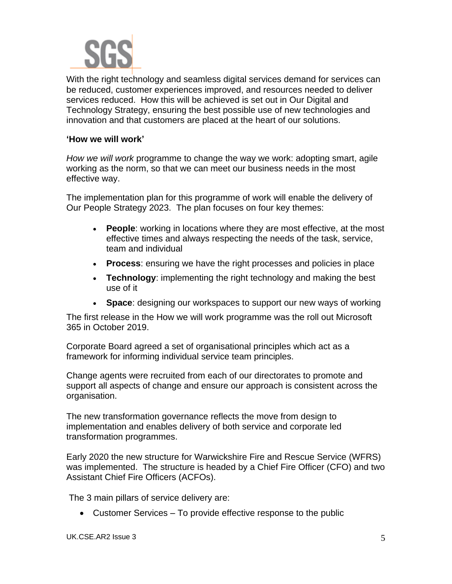

With the right technology and seamless digital services demand for services can be reduced, customer experiences improved, and resources needed to deliver services reduced. How this will be achieved is set out in Our Digital and Technology Strategy, ensuring the best possible use of new technologies and innovation and that customers are placed at the heart of our solutions.

#### **'How we will work'**

*How we will work* programme to change the way we work: adopting smart, agile working as the norm, so that we can meet our business needs in the most effective way.

The implementation plan for this programme of work will enable the delivery of Our People Strategy 2023. The plan focuses on four key themes:

- **People**: working in locations where they are most effective, at the most effective times and always respecting the needs of the task, service, team and individual
- **Process**: ensuring we have the right processes and policies in place
- **Technology**: implementing the right technology and making the best use of it
- **Space**: designing our workspaces to support our new ways of working

The first release in the How we will work programme was the roll out Microsoft 365 in October 2019.

Corporate Board agreed a set of organisational principles which act as a framework for informing individual service team principles.

Change agents were recruited from each of our directorates to promote and support all aspects of change and ensure our approach is consistent across the organisation.

The new transformation governance reflects the move from design to implementation and enables delivery of both service and corporate led transformation programmes.

Early 2020 the new structure for Warwickshire Fire and Rescue Service (WFRS) was implemented. The structure is headed by a Chief Fire Officer (CFO) and two Assistant Chief Fire Officers (ACFOs).

The 3 main pillars of service delivery are:

• Customer Services – To provide effective response to the public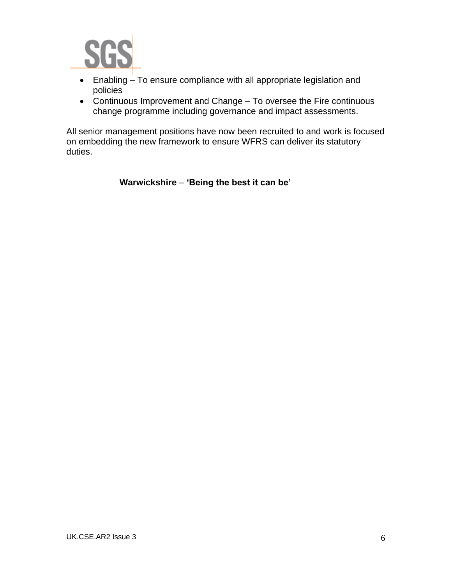

- Enabling To ensure compliance with all appropriate legislation and policies
- Continuous Improvement and Change To oversee the Fire continuous change programme including governance and impact assessments.

All senior management positions have now been recruited to and work is focused on embedding the new framework to ensure WFRS can deliver its statutory duties.

**Warwickshire** – **'Being the best it can be'**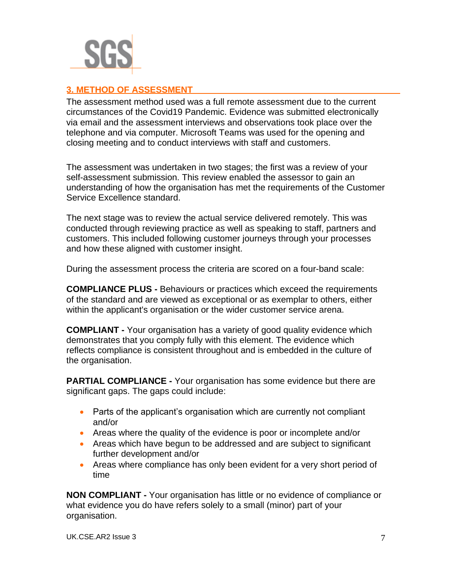

#### **3. METHOD OF ASSESSMENT**

The assessment method used was a full remote assessment due to the current circumstances of the Covid19 Pandemic. Evidence was submitted electronically via email and the assessment interviews and observations took place over the telephone and via computer. Microsoft Teams was used for the opening and closing meeting and to conduct interviews with staff and customers.

The assessment was undertaken in two stages; the first was a review of your self-assessment submission. This review enabled the assessor to gain an understanding of how the organisation has met the requirements of the Customer Service Excellence standard.

The next stage was to review the actual service delivered remotely. This was conducted through reviewing practice as well as speaking to staff, partners and customers. This included following customer journeys through your processes and how these aligned with customer insight.

During the assessment process the criteria are scored on a four-band scale:

**COMPLIANCE PLUS -** Behaviours or practices which exceed the requirements of the standard and are viewed as exceptional or as exemplar to others, either within the applicant's organisation or the wider customer service arena.

**COMPLIANT -** Your organisation has a variety of good quality evidence which demonstrates that you comply fully with this element. The evidence which reflects compliance is consistent throughout and is embedded in the culture of the organisation.

**PARTIAL COMPLIANCE -** Your organisation has some evidence but there are significant gaps. The gaps could include:

- Parts of the applicant's organisation which are currently not compliant and/or
- Areas where the quality of the evidence is poor or incomplete and/or
- Areas which have begun to be addressed and are subject to significant further development and/or
- Areas where compliance has only been evident for a very short period of time

**NON COMPLIANT -** Your organisation has little or no evidence of compliance or what evidence you do have refers solely to a small (minor) part of your organisation.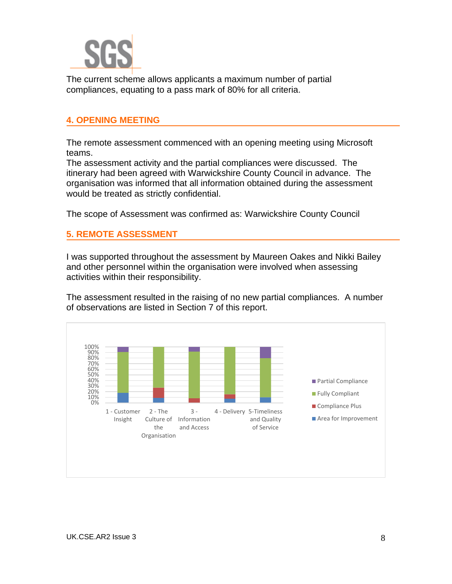

The current scheme allows applicants a maximum number of partial compliances, equating to a pass mark of 80% for all criteria.

#### **4. OPENING MEETING**

The remote assessment commenced with an opening meeting using Microsoft teams.

The assessment activity and the partial compliances were discussed. The itinerary had been agreed with Warwickshire County Council in advance. The organisation was informed that all information obtained during the assessment would be treated as strictly confidential.

The scope of Assessment was confirmed as: Warwickshire County Council

#### **5. REMOTE ASSESSMENT**

I was supported throughout the assessment by Maureen Oakes and Nikki Bailey and other personnel within the organisation were involved when assessing activities within their responsibility.

The assessment resulted in the raising of no new partial compliances. A number of observations are listed in Section 7 of this report.

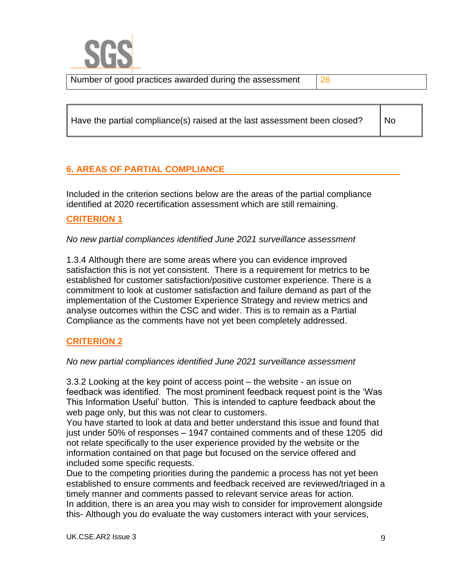Number of good practices awarded during the assessment  $\frac{26}{26}$ 

Have the partial compliance(s) raised at the last assessment been closed?

No

### **6. AREAS OF PARTIAL COMPLIANCE**

Included in the criterion sections below are the areas of the partial compliance identified at 2020 recertification assessment which are still remaining.

#### **CRITERION 1**

*No new partial compliances identified June 2021 surveillance assessment*

1.3.4 Although there are some areas where you can evidence improved satisfaction this is not yet consistent. There is a requirement for metrics to be established for customer satisfaction/positive customer experience. There is a commitment to look at customer satisfaction and failure demand as part of the implementation of the Customer Experience Strategy and review metrics and analyse outcomes within the CSC and wider. This is to remain as a Partial Compliance as the comments have not yet been completely addressed.

#### **CRITERION 2**

#### *No new partial compliances identified June 2021 surveillance assessment*

3.3.2 Looking at the key point of access point – the website - an issue on feedback was identified. The most prominent feedback request point is the 'Was This Information Useful' button. This is intended to capture feedback about the web page only, but this was not clear to customers.

You have started to look at data and better understand this issue and found that just under 50% of responses – 1947 contained comments and of these 1205 did not relate specifically to the user experience provided by the website or the information contained on that page but focused on the service offered and included some specific requests.

Due to the competing priorities during the pandemic a process has not yet been established to ensure comments and feedback received are reviewed/triaged in a timely manner and comments passed to relevant service areas for action. In addition, there is an area you may wish to consider for improvement alongside this- Although you do evaluate the way customers interact with your services,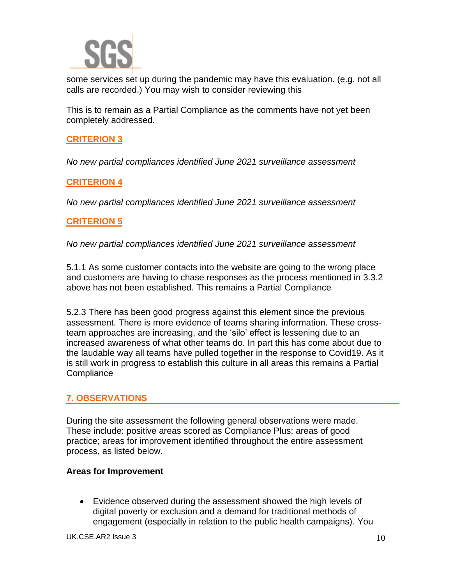

some services set up during the pandemic may have this evaluation. (e.g. not all calls are recorded.) You may wish to consider reviewing this

This is to remain as a Partial Compliance as the comments have not yet been completely addressed.

#### **CRITERION 3**

*No new partial compliances identified June 2021 surveillance assessment*

#### **CRITERION 4**

*No new partial compliances identified June 2021 surveillance assessment*

#### **CRITERION 5**

*No new partial compliances identified June 2021 surveillance assessment*

5.1.1 As some customer contacts into the website are going to the wrong place and customers are having to chase responses as the process mentioned in 3.3.2 above has not been established. This remains a Partial Compliance

5.2.3 There has been good progress against this element since the previous assessment. There is more evidence of teams sharing information. These crossteam approaches are increasing, and the 'silo' effect is lessening due to an increased awareness of what other teams do. In part this has come about due to the laudable way all teams have pulled together in the response to Covid19. As it is still work in progress to establish this culture in all areas this remains a Partial **Compliance** 

#### **7. OBSERVATIONS**

During the site assessment the following general observations were made. These include: positive areas scored as Compliance Plus; areas of good practice; areas for improvement identified throughout the entire assessment process, as listed below.

#### **Areas for Improvement**

• Evidence observed during the assessment showed the high levels of digital poverty or exclusion and a demand for traditional methods of engagement (especially in relation to the public health campaigns). You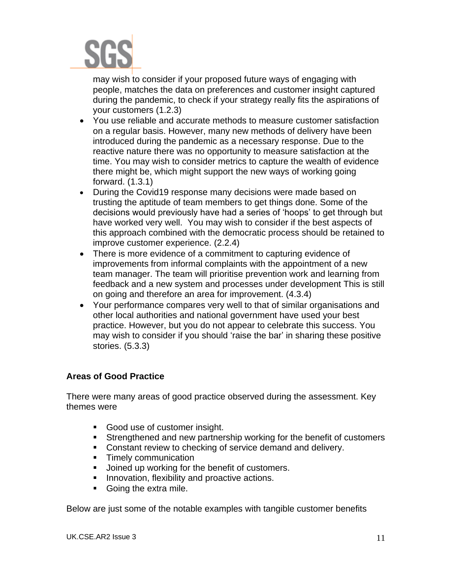

may wish to consider if your proposed future ways of engaging with people, matches the data on preferences and customer insight captured during the pandemic, to check if your strategy really fits the aspirations of your customers (1.2.3)

- You use reliable and accurate methods to measure customer satisfaction on a regular basis. However, many new methods of delivery have been introduced during the pandemic as a necessary response. Due to the reactive nature there was no opportunity to measure satisfaction at the time. You may wish to consider metrics to capture the wealth of evidence there might be, which might support the new ways of working going forward. (1.3.1)
- During the Covid19 response many decisions were made based on trusting the aptitude of team members to get things done. Some of the decisions would previously have had a series of 'hoops' to get through but have worked very well. You may wish to consider if the best aspects of this approach combined with the democratic process should be retained to improve customer experience. (2.2.4)
- There is more evidence of a commitment to capturing evidence of improvements from informal complaints with the appointment of a new team manager. The team will prioritise prevention work and learning from feedback and a new system and processes under development This is still on going and therefore an area for improvement. (4.3.4)
- Your performance compares very well to that of similar organisations and other local authorities and national government have used your best practice. However, but you do not appear to celebrate this success. You may wish to consider if you should 'raise the bar' in sharing these positive stories. (5.3.3)

#### **Areas of Good Practice**

There were many areas of good practice observed during the assessment. Key themes were

- Good use of customer insight.
- Strengthened and new partnership working for the benefit of customers
- Constant review to checking of service demand and delivery.
- **•** Timely communication
- Joined up working for the benefit of customers.
- **E** Innovation, flexibility and proactive actions.
- Going the extra mile.

Below are just some of the notable examples with tangible customer benefits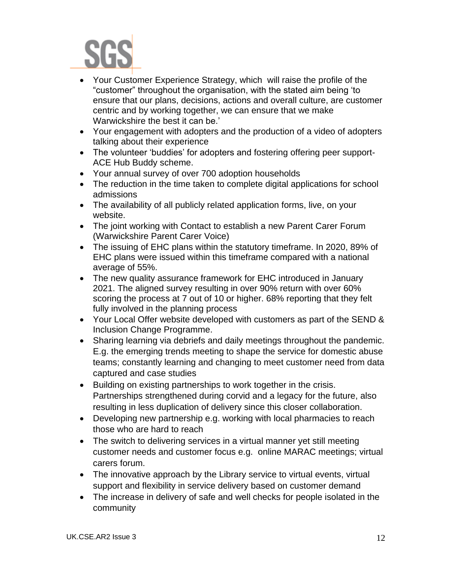

- Your Customer Experience Strategy, which will raise the profile of the "customer" throughout the organisation, with the stated aim being 'to ensure that our plans, decisions, actions and overall culture, are customer centric and by working together, we can ensure that we make Warwickshire the best it can be.'
- Your engagement with adopters and the production of a video of adopters talking about their experience
- The volunteer 'buddies' for adopters and fostering offering peer support-ACE Hub Buddy scheme.
- Your annual survey of over 700 adoption households
- The reduction in the time taken to complete digital applications for school admissions
- The availability of all publicly related application forms, live, on your website.
- The joint working with Contact to establish a new Parent Carer Forum (Warwickshire Parent Carer Voice)
- The issuing of EHC plans within the statutory timeframe. In 2020, 89% of EHC plans were issued within this timeframe compared with a national average of 55%.
- The new quality assurance framework for EHC introduced in January 2021. The aligned survey resulting in over 90% return with over 60% scoring the process at 7 out of 10 or higher. 68% reporting that they felt fully involved in the planning process
- Your Local Offer website developed with customers as part of the SEND & Inclusion Change Programme.
- Sharing learning via debriefs and daily meetings throughout the pandemic. E.g. the emerging trends meeting to shape the service for domestic abuse teams; constantly learning and changing to meet customer need from data captured and case studies
- Building on existing partnerships to work together in the crisis. Partnerships strengthened during corvid and a legacy for the future, also resulting in less duplication of delivery since this closer collaboration.
- Developing new partnership e.g. working with local pharmacies to reach those who are hard to reach
- The switch to delivering services in a virtual manner yet still meeting customer needs and customer focus e.g. online MARAC meetings; virtual carers forum.
- The innovative approach by the Library service to virtual events, virtual support and flexibility in service delivery based on customer demand
- The increase in delivery of safe and well checks for people isolated in the community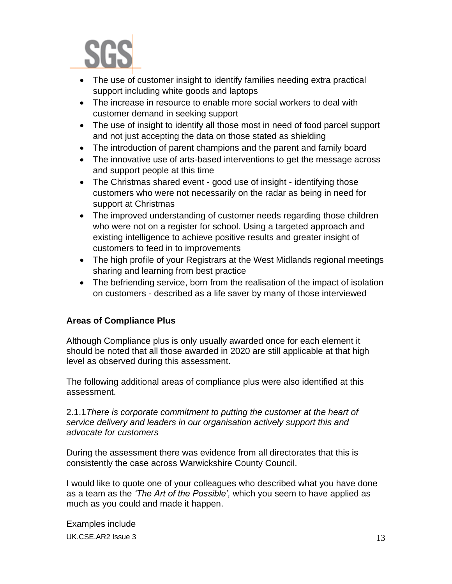

- The use of customer insight to identify families needing extra practical support including white goods and laptops
- The increase in resource to enable more social workers to deal with customer demand in seeking support
- The use of insight to identify all those most in need of food parcel support and not just accepting the data on those stated as shielding
- The introduction of parent champions and the parent and family board
- The innovative use of arts-based interventions to get the message across and support people at this time
- The Christmas shared event good use of insight identifying those customers who were not necessarily on the radar as being in need for support at Christmas
- The improved understanding of customer needs regarding those children who were not on a register for school. Using a targeted approach and existing intelligence to achieve positive results and greater insight of customers to feed in to improvements
- The high profile of your Registrars at the West Midlands regional meetings sharing and learning from best practice
- The befriending service, born from the realisation of the impact of isolation on customers - described as a life saver by many of those interviewed

#### **Areas of Compliance Plus**

Although Compliance plus is only usually awarded once for each element it should be noted that all those awarded in 2020 are still applicable at that high level as observed during this assessment.

The following additional areas of compliance plus were also identified at this assessment.

2.1.1*There is corporate commitment to putting the customer at the heart of service delivery and leaders in our organisation actively support this and advocate for customers*

During the assessment there was evidence from all directorates that this is consistently the case across Warwickshire County Council.

I would like to quote one of your colleagues who described what you have done as a team as the *'The Art of the Possible',* which you seem to have applied as much as you could and made it happen.

UK.CSE.AR2 Issue  $3$  13 Examples include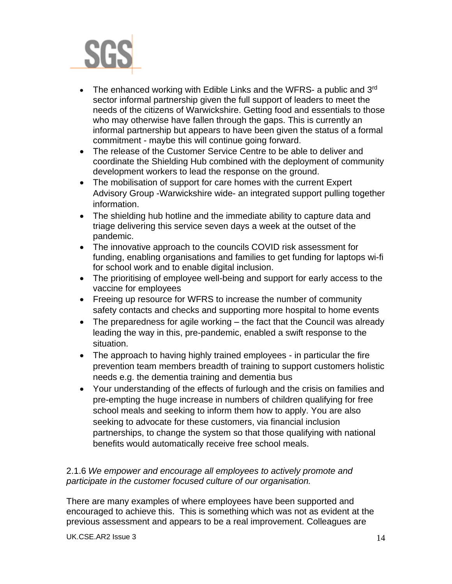

- The enhanced working with Edible Links and the WFRS- a public and  $3<sup>rd</sup>$ sector informal partnership given the full support of leaders to meet the needs of the citizens of Warwickshire. Getting food and essentials to those who may otherwise have fallen through the gaps. This is currently an informal partnership but appears to have been given the status of a formal commitment - maybe this will continue going forward.
- The release of the Customer Service Centre to be able to deliver and coordinate the Shielding Hub combined with the deployment of community development workers to lead the response on the ground.
- The mobilisation of support for care homes with the current Expert Advisory Group -Warwickshire wide- an integrated support pulling together information.
- The shielding hub hotline and the immediate ability to capture data and triage delivering this service seven days a week at the outset of the pandemic.
- The innovative approach to the councils COVID risk assessment for funding, enabling organisations and families to get funding for laptops wi-fi for school work and to enable digital inclusion.
- The prioritising of employee well-being and support for early access to the vaccine for employees
- Freeing up resource for WFRS to increase the number of community safety contacts and checks and supporting more hospital to home events
- The preparedness for agile working the fact that the Council was already leading the way in this, pre-pandemic, enabled a swift response to the situation.
- The approach to having highly trained employees in particular the fire prevention team members breadth of training to support customers holistic needs e.g. the dementia training and dementia bus
- Your understanding of the effects of furlough and the crisis on families and pre-empting the huge increase in numbers of children qualifying for free school meals and seeking to inform them how to apply. You are also seeking to advocate for these customers, via financial inclusion partnerships, to change the system so that those qualifying with national benefits would automatically receive free school meals.

#### 2.1.6 *We empower and encourage all employees to actively promote and participate in the customer focused culture of our organisation.*

There are many examples of where employees have been supported and encouraged to achieve this. This is something which was not as evident at the previous assessment and appears to be a real improvement. Colleagues are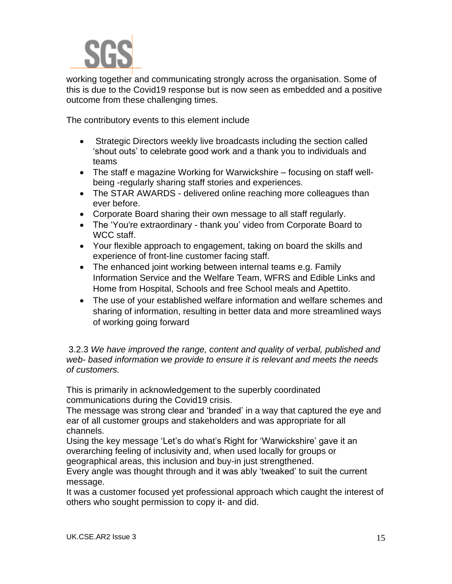

working together and communicating strongly across the organisation. Some of this is due to the Covid19 response but is now seen as embedded and a positive outcome from these challenging times.

The contributory events to this element include

- Strategic Directors weekly live broadcasts including the section called 'shout outs' to celebrate good work and a thank you to individuals and teams
- The staff e magazine Working for Warwickshire focusing on staff wellbeing -regularly sharing staff stories and experiences.
- The STAR AWARDS delivered online reaching more colleagues than ever before.
- Corporate Board sharing their own message to all staff regularly.
- The 'You're extraordinary thank you' video from Corporate Board to WCC staff.
- Your flexible approach to engagement, taking on board the skills and experience of front-line customer facing staff.
- The enhanced joint working between internal teams e.g. Family Information Service and the Welfare Team, WFRS and Edible Links and Home from Hospital, Schools and free School meals and Apettito.
- The use of your established welfare information and welfare schemes and sharing of information, resulting in better data and more streamlined ways of working going forward

3.2.3 *We have improved the range, content and quality of verbal, published and web- based information we provide to ensure it is relevant and meets the needs of customers.*

This is primarily in acknowledgement to the superbly coordinated communications during the Covid19 crisis.

The message was strong clear and 'branded' in a way that captured the eye and ear of all customer groups and stakeholders and was appropriate for all channels.

Using the key message 'Let's do what's Right for 'Warwickshire' gave it an overarching feeling of inclusivity and, when used locally for groups or geographical areas, this inclusion and buy-in just strengthened.

Every angle was thought through and it was ably 'tweaked' to suit the current message.

It was a customer focused yet professional approach which caught the interest of others who sought permission to copy it- and did.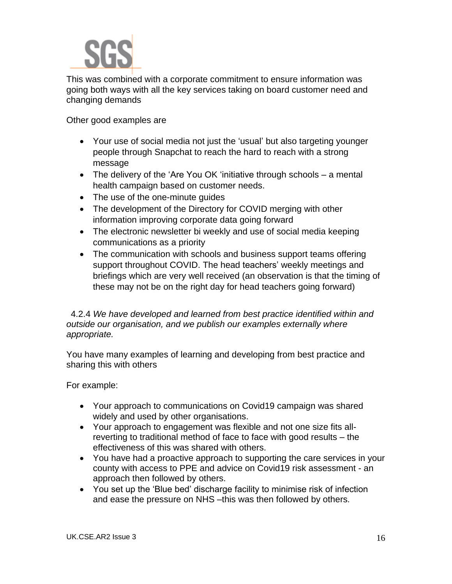

This was combined with a corporate commitment to ensure information was going both ways with all the key services taking on board customer need and changing demands

Other good examples are

- Your use of social media not just the 'usual' but also targeting younger people through Snapchat to reach the hard to reach with a strong message
- The delivery of the 'Are You OK 'initiative through schools a mental health campaign based on customer needs.
- The use of the one-minute quides
- The development of the Directory for COVID merging with other information improving corporate data going forward
- The electronic newsletter bi weekly and use of social media keeping communications as a priority
- The communication with schools and business support teams offering support throughout COVID. The head teachers' weekly meetings and briefings which are very well received (an observation is that the timing of these may not be on the right day for head teachers going forward)

#### 4.2.4 *We have developed and learned from best practice identified within and outside our organisation, and we publish our examples externally where appropriate.*

You have many examples of learning and developing from best practice and sharing this with others

For example:

- Your approach to communications on Covid19 campaign was shared widely and used by other organisations.
- Your approach to engagement was flexible and not one size fits allreverting to traditional method of face to face with good results – the effectiveness of this was shared with others.
- You have had a proactive approach to supporting the care services in your county with access to PPE and advice on Covid19 risk assessment - an approach then followed by others.
- You set up the 'Blue bed' discharge facility to minimise risk of infection and ease the pressure on NHS –this was then followed by others.